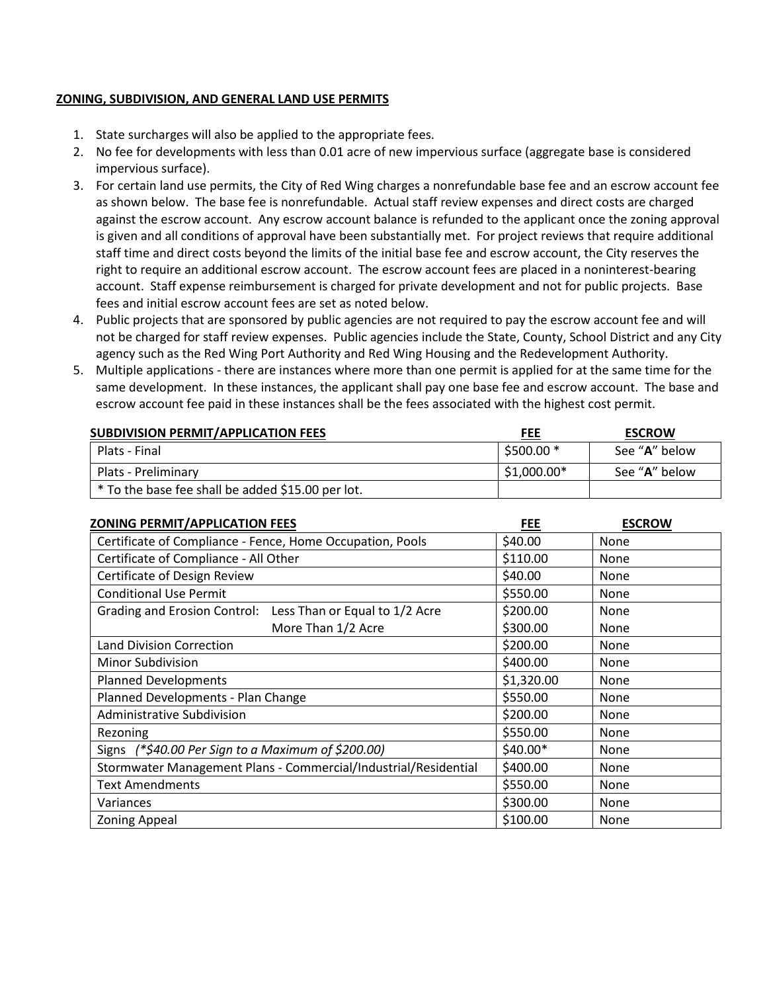## **ZONING, SUBDIVISION, AND GENERAL LAND USE PERMITS**

- 1. State surcharges will also be applied to the appropriate fees.
- 2. No fee for developments with less than 0.01 acre of new impervious surface (aggregate base is considered impervious surface).
- 3. For certain land use permits, the City of Red Wing charges a nonrefundable base fee and an escrow account fee as shown below. The base fee is nonrefundable. Actual staff review expenses and direct costs are charged against the escrow account. Any escrow account balance is refunded to the applicant once the zoning approval is given and all conditions of approval have been substantially met. For project reviews that require additional staff time and direct costs beyond the limits of the initial base fee and escrow account, the City reserves the right to require an additional escrow account. The escrow account fees are placed in a noninterest-bearing account. Staff expense reimbursement is charged for private development and not for public projects. Base fees and initial escrow account fees are set as noted below.
- 4. Public projects that are sponsored by public agencies are not required to pay the escrow account fee and will not be charged for staff review expenses. Public agencies include the State, County, School District and any City agency such as the Red Wing Port Authority and Red Wing Housing and the Redevelopment Authority.
- 5. Multiple applications there are instances where more than one permit is applied for at the same time for the same development. In these instances, the applicant shall pay one base fee and escrow account. The base and escrow account fee paid in these instances shall be the fees associated with the highest cost permit.

| <b>SUBDIVISION PERMIT/APPLICATION FEES</b>        | <b>FEE</b>   | <b>ESCROW</b>          |
|---------------------------------------------------|--------------|------------------------|
| Plats - Final                                     | $5500.00*$   | See " <b>A</b> " below |
| Plats - Preliminary                               | $$1,000.00*$ | See "A" below          |
| * To the base fee shall be added \$15.00 per lot. |              |                        |

| <b>ZONING PERMIT/APPLICATION FEES</b>                           | FEE        | <b>ESCROW</b> |
|-----------------------------------------------------------------|------------|---------------|
| Certificate of Compliance - Fence, Home Occupation, Pools       | \$40.00    | None          |
| Certificate of Compliance - All Other                           | \$110.00   | None          |
| Certificate of Design Review                                    | \$40.00    | None          |
| <b>Conditional Use Permit</b>                                   | \$550.00   | None          |
| Grading and Erosion Control: Less Than or Equal to 1/2 Acre     | \$200.00   | None          |
| More Than 1/2 Acre                                              | \$300.00   | None          |
| <b>Land Division Correction</b>                                 | \$200.00   | <b>None</b>   |
| <b>Minor Subdivision</b>                                        | \$400.00   | None          |
| <b>Planned Developments</b>                                     | \$1,320.00 | None          |
| Planned Developments - Plan Change                              | \$550.00   | None          |
| Administrative Subdivision                                      | \$200.00   | None          |
| Rezoning                                                        | \$550.00   | None          |
| Signs (*\$40.00 Per Sign to a Maximum of \$200.00)              | \$40.00*   | None          |
| Stormwater Management Plans - Commercial/Industrial/Residential | \$400.00   | None          |
| <b>Text Amendments</b>                                          | \$550.00   | None          |
| Variances                                                       | \$300.00   | None          |
| <b>Zoning Appeal</b>                                            | \$100.00   | None          |